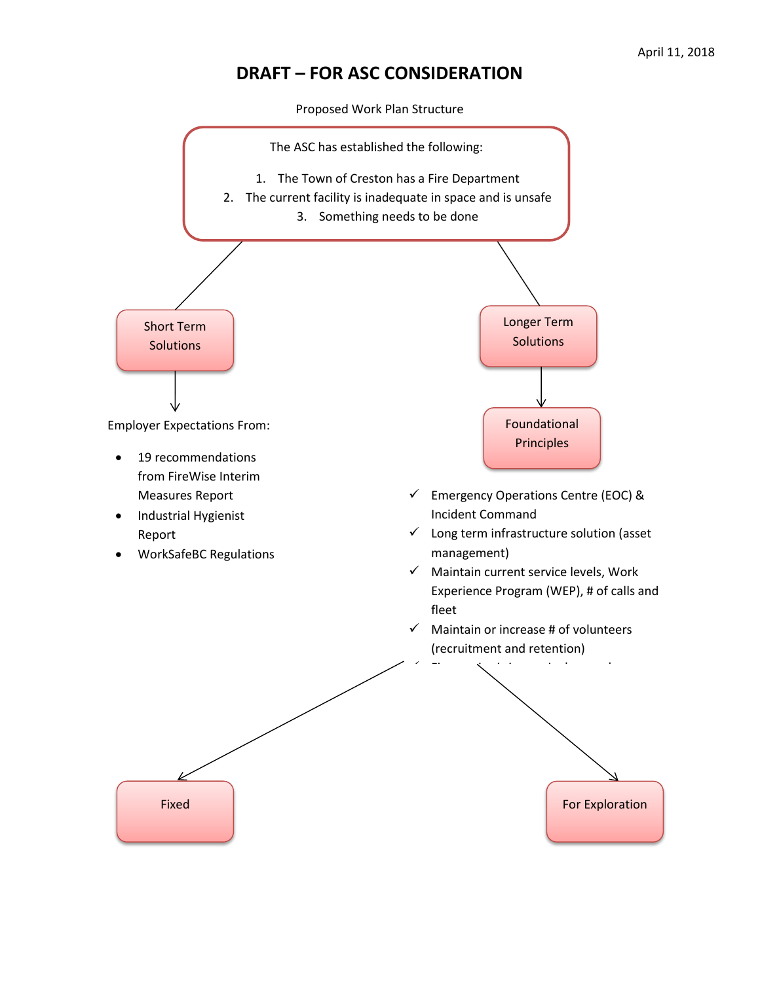## **DRAFT – FOR ASC CONSIDERATION**

Proposed Work Plan Structure